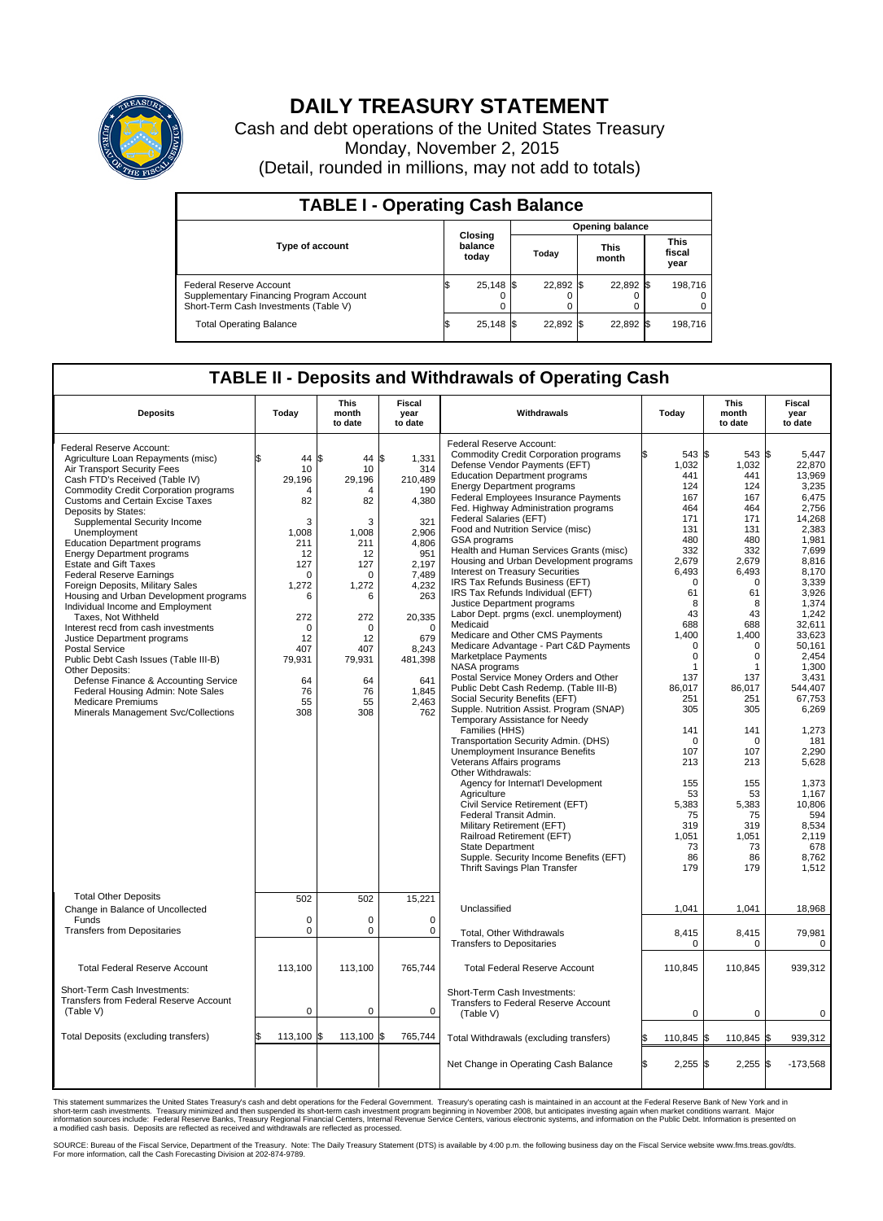

## **DAILY TREASURY STATEMENT**

Cash and debt operations of the United States Treasury Monday, November 2, 2015 (Detail, rounded in millions, may not add to totals)

| <b>TABLE I - Operating Cash Balance</b>                                                                     |    |                             |  |                        |  |                      |                        |         |  |  |  |
|-------------------------------------------------------------------------------------------------------------|----|-----------------------------|--|------------------------|--|----------------------|------------------------|---------|--|--|--|
|                                                                                                             |    | Closing<br>balance<br>today |  | <b>Opening balance</b> |  |                      |                        |         |  |  |  |
| <b>Type of account</b>                                                                                      |    |                             |  | Today                  |  | <b>This</b><br>month | This<br>fiscal<br>year |         |  |  |  |
| Federal Reserve Account<br>Supplementary Financing Program Account<br>Short-Term Cash Investments (Table V) |    | $25,148$ \$                 |  | 22,892 \$              |  | 22,892 \$            |                        | 198,716 |  |  |  |
| <b>Total Operating Balance</b>                                                                              | ıъ | $25,148$ \$                 |  | 22,892 \$              |  | 22,892 \$            |                        | 198,716 |  |  |  |

## **TABLE II - Deposits and Withdrawals of Operating Cash**

| <b>Deposits</b>                                                                                                                                                                                                                                                                                                                                                                                                                                                                                                                                                                                                                                                                                                                                                                                                                                                                                | Todav                                                                                                                                                                           | <b>This</b><br>month<br>to date                                                                                                                             | <b>Fiscal</b><br>year<br>to date                                                                                                                                                                    | Withdrawals                                                                                                                                                                                                                                                                                                                                                                                                                                                                                                                                                                                                                                                                                                                                                                                                                                                                                                                                                                                                                                                                                                                                                                                                                                                                                                                                                                                      | Today                                                        |                                                                                                                                                                                                                                                | <b>This</b><br>month<br>to date                                                                                                                                                                                                                                                  | Fiscal<br>year<br>to date                                                                                                                                                                                                                                                                                                                              |
|------------------------------------------------------------------------------------------------------------------------------------------------------------------------------------------------------------------------------------------------------------------------------------------------------------------------------------------------------------------------------------------------------------------------------------------------------------------------------------------------------------------------------------------------------------------------------------------------------------------------------------------------------------------------------------------------------------------------------------------------------------------------------------------------------------------------------------------------------------------------------------------------|---------------------------------------------------------------------------------------------------------------------------------------------------------------------------------|-------------------------------------------------------------------------------------------------------------------------------------------------------------|-----------------------------------------------------------------------------------------------------------------------------------------------------------------------------------------------------|--------------------------------------------------------------------------------------------------------------------------------------------------------------------------------------------------------------------------------------------------------------------------------------------------------------------------------------------------------------------------------------------------------------------------------------------------------------------------------------------------------------------------------------------------------------------------------------------------------------------------------------------------------------------------------------------------------------------------------------------------------------------------------------------------------------------------------------------------------------------------------------------------------------------------------------------------------------------------------------------------------------------------------------------------------------------------------------------------------------------------------------------------------------------------------------------------------------------------------------------------------------------------------------------------------------------------------------------------------------------------------------------------|--------------------------------------------------------------|------------------------------------------------------------------------------------------------------------------------------------------------------------------------------------------------------------------------------------------------|----------------------------------------------------------------------------------------------------------------------------------------------------------------------------------------------------------------------------------------------------------------------------------|--------------------------------------------------------------------------------------------------------------------------------------------------------------------------------------------------------------------------------------------------------------------------------------------------------------------------------------------------------|
| Federal Reserve Account:<br>Agriculture Loan Repayments (misc)<br>Air Transport Security Fees<br>Cash FTD's Received (Table IV)<br>Commodity Credit Corporation programs<br><b>Customs and Certain Excise Taxes</b><br>Deposits by States:<br>Supplemental Security Income<br>Unemployment<br><b>Education Department programs</b><br><b>Energy Department programs</b><br><b>Estate and Gift Taxes</b><br><b>Federal Reserve Earnings</b><br>Foreign Deposits, Military Sales<br>Housing and Urban Development programs<br>Individual Income and Employment<br>Taxes, Not Withheld<br>Interest recd from cash investments<br>Justice Department programs<br><b>Postal Service</b><br>Public Debt Cash Issues (Table III-B)<br>Other Deposits:<br>Defense Finance & Accounting Service<br>Federal Housing Admin: Note Sales<br><b>Medicare Premiums</b><br>Minerals Management Svc/Collections | \$<br>44<br>10<br>29,196<br>$\Delta$<br>82<br>3<br>1,008<br>211<br>12<br>127<br>$\mathbf 0$<br>1,272<br>6<br>272<br>$\mathbf 0$<br>12<br>407<br>79,931<br>64<br>76<br>55<br>308 | \$<br>44<br>10<br>29,196<br>Δ<br>82<br>3<br>1,008<br>211<br>12<br>127<br>$\Omega$<br>1,272<br>6<br>272<br>0<br>12<br>407<br>79,931<br>64<br>76<br>55<br>308 | \$<br>1,331<br>314<br>210,489<br>190<br>4,380<br>321<br>2.906<br>4,806<br>951<br>2.197<br>7,489<br>4,232<br>263<br>20,335<br>$\mathbf 0$<br>679<br>8,243<br>481,398<br>641<br>1,845<br>2.463<br>762 | Federal Reserve Account:<br><b>Commodity Credit Corporation programs</b><br>Defense Vendor Payments (EFT)<br><b>Education Department programs</b><br><b>Energy Department programs</b><br>Federal Employees Insurance Payments<br>Fed. Highway Administration programs<br>Federal Salaries (EFT)<br>Food and Nutrition Service (misc)<br>GSA programs<br>Health and Human Services Grants (misc)<br>Housing and Urban Development programs<br>Interest on Treasury Securities<br>IRS Tax Refunds Business (EFT)<br>IRS Tax Refunds Individual (EFT)<br>Justice Department programs<br>Labor Dept. prgms (excl. unemployment)<br>Medicaid<br>Medicare and Other CMS Payments<br>Medicare Advantage - Part C&D Payments<br>Marketplace Payments<br>NASA programs<br>Postal Service Money Orders and Other<br>Public Debt Cash Redemp. (Table III-B)<br>Social Security Benefits (EFT)<br>Supple. Nutrition Assist. Program (SNAP)<br>Temporary Assistance for Needy<br>Families (HHS)<br>Transportation Security Admin. (DHS)<br>Unemployment Insurance Benefits<br>Veterans Affairs programs<br>Other Withdrawals:<br>Agency for Internat'l Development<br>Agriculture<br>Civil Service Retirement (EFT)<br>Federal Transit Admin.<br>Military Retirement (EFT)<br>Railroad Retirement (EFT)<br><b>State Department</b><br>Supple. Security Income Benefits (EFT)<br>Thrift Savings Plan Transfer | 1,032<br>2,679<br>6,493<br>1,400<br>86.017<br>5,383<br>1,051 | 543 \$<br>441<br>124<br>167<br>464<br>171<br>131<br>480<br>332<br>$\mathbf 0$<br>61<br>8<br>43<br>688<br>$\mathbf 0$<br>$\mathbf 0$<br>1<br>137<br>251<br>305<br>141<br>$\mathbf 0$<br>107<br>213<br>155<br>53<br>75<br>319<br>73<br>86<br>179 | 543 \$<br>1,032<br>441<br>124<br>167<br>464<br>171<br>131<br>480<br>332<br>2,679<br>6.493<br>0<br>61<br>8<br>43<br>688<br>1.400<br>0<br>0<br>1<br>137<br>86.017<br>251<br>305<br>141<br>$\mathbf 0$<br>107<br>213<br>155<br>53<br>5,383<br>75<br>319<br>1,051<br>73<br>86<br>179 | 5,447<br>22,870<br>13.969<br>3,235<br>6,475<br>2,756<br>14,268<br>2,383<br>1.981<br>7,699<br>8,816<br>8.170<br>3,339<br>3,926<br>1,374<br>1,242<br>32,611<br>33,623<br>50,161<br>2,454<br>1,300<br>3,431<br>544.407<br>67,753<br>6,269<br>1,273<br>181<br>2.290<br>5,628<br>1,373<br>1,167<br>10.806<br>594<br>8,534<br>2,119<br>678<br>8,762<br>1,512 |
| <b>Total Other Deposits</b><br>Change in Balance of Uncollected<br>Funds<br><b>Transfers from Depositaries</b>                                                                                                                                                                                                                                                                                                                                                                                                                                                                                                                                                                                                                                                                                                                                                                                 | 502<br>$\mathbf 0$<br>$\mathbf 0$                                                                                                                                               | 502<br>0<br>0                                                                                                                                               | 15,221<br>$\mathbf 0$<br>$\mathbf 0$                                                                                                                                                                | Unclassified<br>Total, Other Withdrawals<br><b>Transfers to Depositaries</b>                                                                                                                                                                                                                                                                                                                                                                                                                                                                                                                                                                                                                                                                                                                                                                                                                                                                                                                                                                                                                                                                                                                                                                                                                                                                                                                     | 1,041<br>8,415                                               | $\mathbf 0$                                                                                                                                                                                                                                    | 1,041<br>8,415<br>0                                                                                                                                                                                                                                                              | 18,968<br>79,981<br>0                                                                                                                                                                                                                                                                                                                                  |
| <b>Total Federal Reserve Account</b>                                                                                                                                                                                                                                                                                                                                                                                                                                                                                                                                                                                                                                                                                                                                                                                                                                                           | 113,100                                                                                                                                                                         | 113,100                                                                                                                                                     | 765,744                                                                                                                                                                                             | <b>Total Federal Reserve Account</b>                                                                                                                                                                                                                                                                                                                                                                                                                                                                                                                                                                                                                                                                                                                                                                                                                                                                                                                                                                                                                                                                                                                                                                                                                                                                                                                                                             | 110,845                                                      |                                                                                                                                                                                                                                                | 110,845                                                                                                                                                                                                                                                                          | 939,312                                                                                                                                                                                                                                                                                                                                                |
| Short-Term Cash Investments:<br>Transfers from Federal Reserve Account<br>(Table V)                                                                                                                                                                                                                                                                                                                                                                                                                                                                                                                                                                                                                                                                                                                                                                                                            | $\pmb{0}$                                                                                                                                                                       | 0                                                                                                                                                           | $\mathbf 0$                                                                                                                                                                                         | Short-Term Cash Investments:<br><b>Transfers to Federal Reserve Account</b><br>(Table V)                                                                                                                                                                                                                                                                                                                                                                                                                                                                                                                                                                                                                                                                                                                                                                                                                                                                                                                                                                                                                                                                                                                                                                                                                                                                                                         |                                                              | 0                                                                                                                                                                                                                                              | 0                                                                                                                                                                                                                                                                                | 0                                                                                                                                                                                                                                                                                                                                                      |
| Total Deposits (excluding transfers)                                                                                                                                                                                                                                                                                                                                                                                                                                                                                                                                                                                                                                                                                                                                                                                                                                                           | 113,100                                                                                                                                                                         | 113,100                                                                                                                                                     | 765,744<br>\$.                                                                                                                                                                                      | Total Withdrawals (excluding transfers)                                                                                                                                                                                                                                                                                                                                                                                                                                                                                                                                                                                                                                                                                                                                                                                                                                                                                                                                                                                                                                                                                                                                                                                                                                                                                                                                                          | 110,845 \$<br>\$                                             |                                                                                                                                                                                                                                                | 110,845 \$                                                                                                                                                                                                                                                                       | 939,312                                                                                                                                                                                                                                                                                                                                                |
|                                                                                                                                                                                                                                                                                                                                                                                                                                                                                                                                                                                                                                                                                                                                                                                                                                                                                                |                                                                                                                                                                                 |                                                                                                                                                             |                                                                                                                                                                                                     | Net Change in Operating Cash Balance                                                                                                                                                                                                                                                                                                                                                                                                                                                                                                                                                                                                                                                                                                                                                                                                                                                                                                                                                                                                                                                                                                                                                                                                                                                                                                                                                             | l\$                                                          | $2,255$ \$                                                                                                                                                                                                                                     | 2,255                                                                                                                                                                                                                                                                            | \$<br>$-173,568$                                                                                                                                                                                                                                                                                                                                       |

This statement summarizes the United States Treasury's cash and debt operations for the Federal Government. Treasury's operating cash is maintained in an account at the Federal Reserve Bank of New York and in<br>short-term ca

SOURCE: Bureau of the Fiscal Service, Department of the Treasury. Note: The Daily Treasury Statement (DTS) is available by 4:00 p.m. the following business day on the Fiscal Service website www.fms.treas.gov/dts.<br>For more